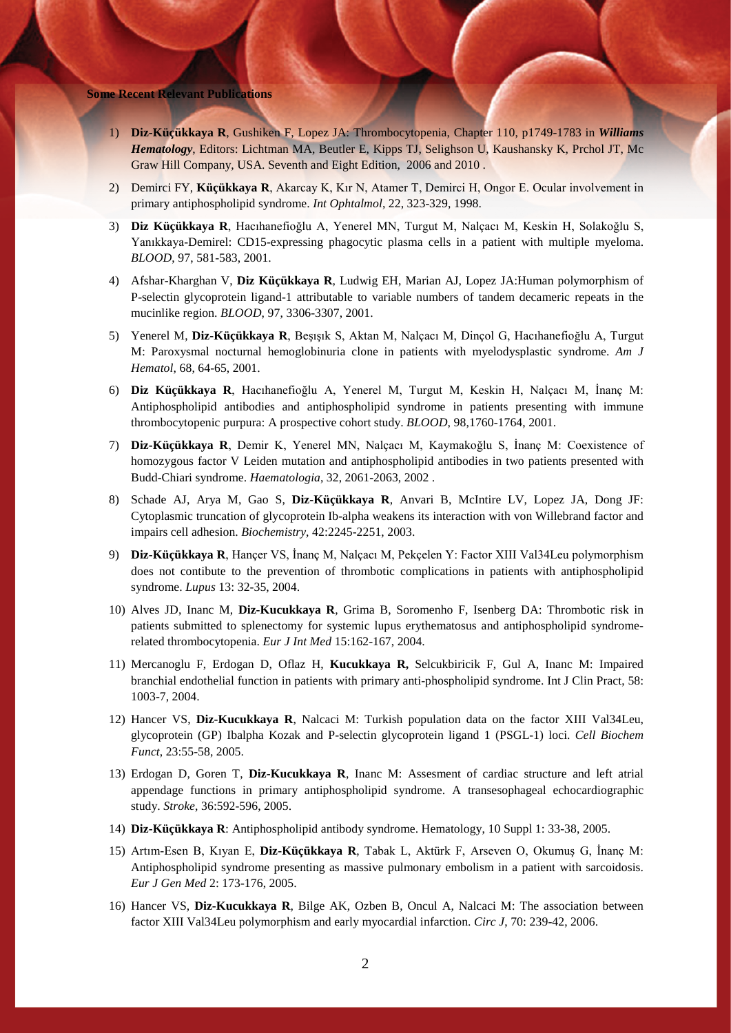## **Some Recent Relevant Publications**

- 1) **Diz-Küçükkaya R**, Gushiken F, Lopez JA: Thrombocytopenia, Chapter 110, p1749-1783 in *Williams Hematology*, Editors: Lichtman MA, Beutler E, Kipps TJ, Selighson U, Kaushansky K, Prchol JT, Mc Graw Hill Company, USA. Seventh and Eight Edition, 2006 and 2010 .
- 2) Demirci FY, **Küçükkaya R**, Akarcay K, Kır N, Atamer T, Demirci H, Ongor E. Ocular involvement in primary antiphospholipid syndrome. *Int Ophtalmol*, 22, 323-329, 1998.
- 3) **Diz Küçükkaya R**, Hacıhanefioğlu A, Yenerel MN, Turgut M, Nalçacı M, Keskin H, Solakoğlu S, Yanıkkaya-Demirel: CD15-expressing phagocytic plasma cells in a patient with multiple myeloma. *BLOOD*, 97, 581-583, 2001.
- 4) Afshar-Kharghan V, **Diz Küçükkaya R**, Ludwig EH, Marian AJ, Lopez JA:Human polymorphism of P-selectin glycoprotein ligand-1 attributable to variable numbers of tandem decameric repeats in the mucinlike region. *BLOOD*, 97, 3306-3307, 2001.
- 5) Yenerel M, **Diz-Küçükkaya R**, Beşışık S, Aktan M, Nalçacı M, Dinçol G, Hacıhanefioğlu A, Turgut M: Paroxysmal nocturnal hemoglobinuria clone in patients with myelodysplastic syndrome. *Am J Hematol*, 68, 64-65, 2001.
- 6) **Diz Küçükkaya R**, Hacıhanefioğlu A, Yenerel M, Turgut M, Keskin H, Nalçacı M, İnanç M: Antiphospholipid antibodies and antiphospholipid syndrome in patients presenting with immune thrombocytopenic purpura: A prospective cohort study. *BLOOD*, 98,1760-1764, 2001.
- 7) **Diz-Küçükkaya R**, Demir K, Yenerel MN, Nalçacı M, Kaymakoğlu S, İnanç M: Coexistence of homozygous factor V Leiden mutation and antiphospholipid antibodies in two patients presented with Budd-Chiari syndrome. *Haematologia*, 32, 2061-2063, 2002 .
- 8) Schade AJ, Arya M, Gao S, **Diz-Küçükkaya R**, Anvari B, McIntire LV, Lopez JA, Dong JF: Cytoplasmic truncation of glycoprotein Ib-alpha weakens its interaction with von Willebrand factor and impairs cell adhesion. *Biochemistry*, 42:2245-2251, 2003.
- 9) **Diz-Küçükkaya R**, Hançer VS, İnanç M, Nalçacı M, Pekçelen Y: Factor XIII Val34Leu polymorphism does not contibute to the prevention of thrombotic complications in patients with antiphospholipid syndrome. *Lupus* 13: 32-35, 2004.
- 10) Alves JD, Inanc M, **Diz-Kucukkaya R**, Grima B, Soromenho F, Isenberg DA: Thrombotic risk in patients submitted to splenectomy for systemic lupus erythematosus and antiphospholipid syndromerelated thrombocytopenia. *Eur J Int Med* 15:162-167, 2004.
- 11) Mercanoglu F, Erdogan D, Oflaz H, **Kucukkaya R,** Selcukbiricik F, Gul A, Inanc M: Impaired branchial endothelial function in patients with primary anti-phospholipid syndrome. Int J Clin Pract, 58: 1003-7, 2004.
- 12) Hancer VS, **Diz-Kucukkaya R**, Nalcaci M: Turkish population data on the factor XIII Val34Leu, glycoprotein (GP) Ibalpha Kozak and P-selectin glycoprotein ligand 1 (PSGL-1) loci. *Cell Biochem Funct*, 23:55-58, 2005.
- 13) Erdogan D, Goren T, **Diz-Kucukkaya R**, Inanc M: Assesment of cardiac structure and left atrial appendage functions in primary antiphospholipid syndrome. A transesophageal echocardiographic study. *Stroke*, 36:592-596, 2005.
- 14) **Diz-Küçükkaya R**: Antiphospholipid antibody syndrome. Hematology, 10 Suppl 1: 33-38, 2005.
- 15) Artım-Esen B, Kıyan E, **Diz-Küçükkaya R**, Tabak L, Aktürk F, Arseven O, Okumuş G, İnanç M: Antiphospholipid syndrome presenting as massive pulmonary embolism in a patient with sarcoidosis. *Eur J Gen Med* 2: 173-176, 2005.
- 16) Hancer VS, **Diz-Kucukkaya R**, Bilge AK, Ozben B, Oncul A, Nalcaci M: The association between factor XIII Val34Leu polymorphism and early myocardial infarction. *Circ J*, 70: 239-42, 2006.